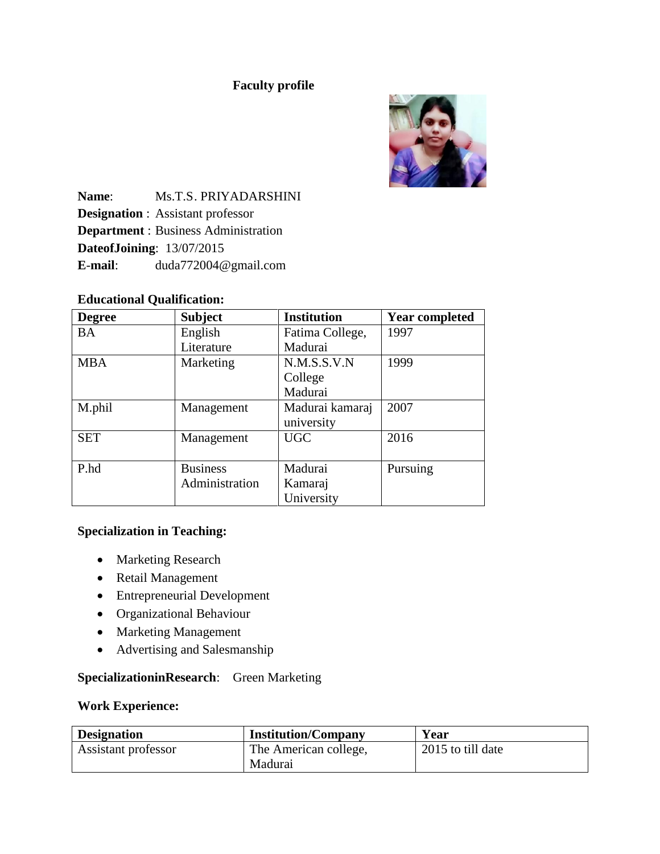### **Faculty profile**



**Name**: Ms.T.S. PRIYADARSHINI **Designation** : Assistant professor **Department** : Business Administration **DateofJoining**: 13/07/2015 **E**-**mail**: duda772004@gmail.com

### **Educational Qualification:**

| <b>Degree</b> | <b>Subject</b>  | <b>Institution</b> | <b>Year completed</b> |
|---------------|-----------------|--------------------|-----------------------|
| <b>BA</b>     | English         | Fatima College,    | 1997                  |
|               | Literature      | Madurai            |                       |
| <b>MBA</b>    | Marketing       | N.M.S.S.V.N        | 1999                  |
|               |                 | College            |                       |
|               |                 | Madurai            |                       |
| M.phil        | Management      | Madurai kamaraj    | 2007                  |
|               |                 | university         |                       |
| <b>SET</b>    | Management      | <b>UGC</b>         | 2016                  |
|               |                 |                    |                       |
| P.hd          | <b>Business</b> | Madurai            | Pursuing              |
|               | Administration  | Kamaraj            |                       |
|               |                 | University         |                       |

# **Specialization in Teaching:**

- Marketing Research
- Retail Management
- Entrepreneurial Development
- Organizational Behaviour
- Marketing Management
- Advertising and Salesmanship

# **SpecializationinResearch**: Green Marketing

#### **Work Experience:**

| <b>Designation</b>  | <b>Institution/Company</b> | Year              |
|---------------------|----------------------------|-------------------|
| Assistant professor | The American college,      | 2015 to till date |
|                     | Madurai                    |                   |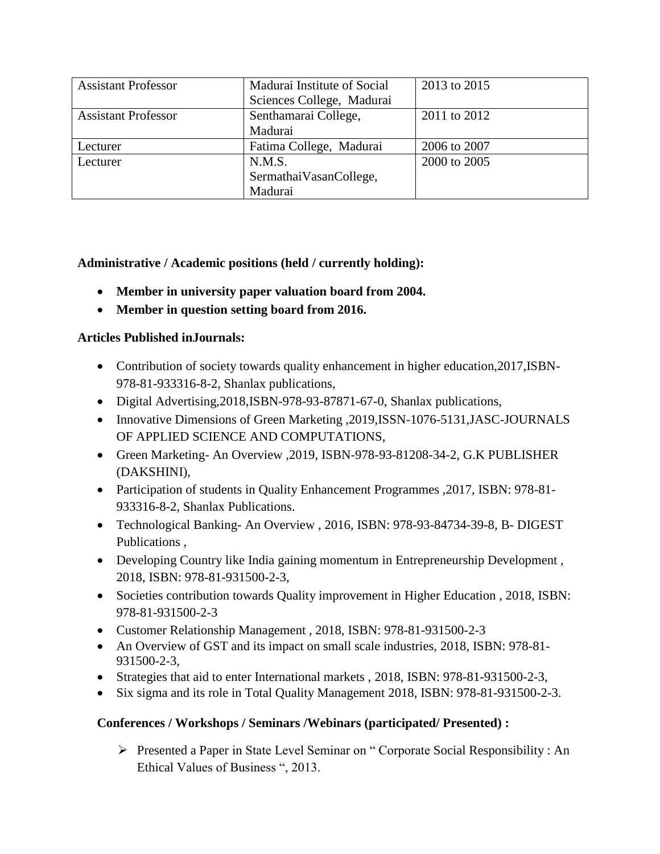| <b>Assistant Professor</b> | 2013 to 2015<br>Madurai Institute of Social |              |
|----------------------------|---------------------------------------------|--------------|
|                            | Sciences College, Madurai                   |              |
| <b>Assistant Professor</b> | Senthamarai College,                        | 2011 to 2012 |
|                            | Madurai                                     |              |
| Lecturer                   | Fatima College, Madurai                     | 2006 to 2007 |
| Lecturer                   | N.M.S.                                      | 2000 to 2005 |
|                            | SermathaiVasanCollege,                      |              |
|                            | Madurai                                     |              |

**Administrative / Academic positions (held / currently holding):**

- **Member in university paper valuation board from 2004.**
- **Member in question setting board from 2016.**

### **Articles Published inJournals:**

- Contribution of society towards quality enhancement in higher education,2017,ISBN-978-81-933316-8-2, Shanlax publications,
- Digital Advertising,2018,ISBN-978-93-87871-67-0, Shanlax publications,
- Innovative Dimensions of Green Marketing , 2019, ISSN-1076-5131, JASC-JOURNALS OF APPLIED SCIENCE AND COMPUTATIONS,
- Green Marketing- An Overview ,2019, ISBN-978-93-81208-34-2, G.K PUBLISHER (DAKSHINI),
- Participation of students in Quality Enhancement Programmes ,2017, ISBN: 978-81- 933316-8-2, Shanlax Publications.
- Technological Banking- An Overview , 2016, ISBN: 978-93-84734-39-8, B- DIGEST Publications ,
- Developing Country like India gaining momentum in Entrepreneurship Development , 2018, ISBN: 978-81-931500-2-3,
- Societies contribution towards Quality improvement in Higher Education , 2018, ISBN: 978-81-931500-2-3
- Customer Relationship Management , 2018, ISBN: 978-81-931500-2-3
- An Overview of GST and its impact on small scale industries, 2018, ISBN: 978-81-931500-2-3,
- Strategies that aid to enter International markets , 2018, ISBN: 978-81-931500-2-3,
- Six sigma and its role in Total Quality Management 2018, ISBN: 978-81-931500-2-3.

### **Conferences / Workshops / Seminars /Webinars (participated/ Presented) :**

 Presented a Paper in State Level Seminar on " Corporate Social Responsibility : An Ethical Values of Business ", 2013.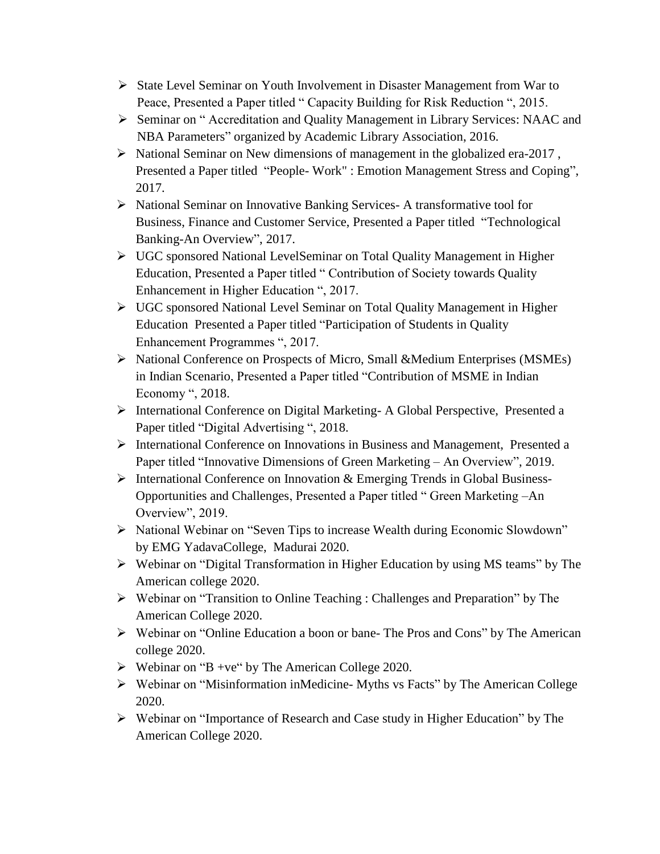- $\triangleright$  State Level Seminar on Youth Involvement in Disaster Management from War to Peace, Presented a Paper titled " Capacity Building for Risk Reduction ", 2015.
- Seminar on " Accreditation and Quality Management in Library Services: NAAC and NBA Parameters" organized by Academic Library Association, 2016.
- $\triangleright$  National Seminar on New dimensions of management in the globalized era-2017, Presented a Paper titled "People- Work" : Emotion Management Stress and Coping", 2017.
- $\triangleright$  National Seminar on Innovative Banking Services- A transformative tool for Business, Finance and Customer Service, Presented a Paper titled "Technological Banking-An Overview", 2017.
- UGC sponsored National LevelSeminar on Total Quality Management in Higher Education, Presented a Paper titled " Contribution of Society towards Quality Enhancement in Higher Education ", 2017.
- UGC sponsored National Level Seminar on Total Quality Management in Higher Education Presented a Paper titled "Participation of Students in Quality Enhancement Programmes ", 2017.
- National Conference on Prospects of Micro, Small &Medium Enterprises (MSMEs) in Indian Scenario, Presented a Paper titled "Contribution of MSME in Indian Economy ", 2018.
- International Conference on Digital Marketing- A Global Perspective, Presented a Paper titled "Digital Advertising ", 2018.
- International Conference on Innovations in Business and Management, Presented a Paper titled "Innovative Dimensions of Green Marketing – An Overview", 2019.
- $\triangleright$  International Conference on Innovation & Emerging Trends in Global Business-Opportunities and Challenges, Presented a Paper titled " Green Marketing –An Overview", 2019.
- National Webinar on "Seven Tips to increase Wealth during Economic Slowdown" by EMG YadavaCollege, Madurai 2020.
- Webinar on "Digital Transformation in Higher Education by using MS teams" by The American college 2020.
- Webinar on "Transition to Online Teaching : Challenges and Preparation" by The American College 2020.
- Webinar on "Online Education a boon or bane- The Pros and Cons" by The American college 2020.
- $\triangleright$  Webinar on "B +ve" by The American College 2020.
- Webinar on "Misinformation inMedicine- Myths vs Facts" by The American College 2020.
- Webinar on "Importance of Research and Case study in Higher Education" by The American College 2020.